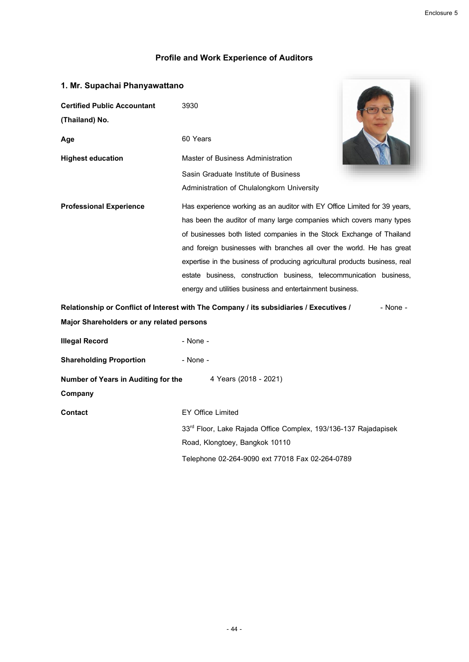## **Profile and Work Experience of Auditors**

| 1. Mr. Supachai Phanyawattano                                |                                                                                                     |  |
|--------------------------------------------------------------|-----------------------------------------------------------------------------------------------------|--|
| <b>Certified Public Accountant</b>                           | 3930                                                                                                |  |
| (Thailand) No.                                               |                                                                                                     |  |
| Age                                                          | 60 Years                                                                                            |  |
| <b>Highest education</b>                                     | Master of Business Administration                                                                   |  |
|                                                              | Sasin Graduate Institute of Business                                                                |  |
|                                                              | Administration of Chulalongkorn University                                                          |  |
| <b>Professional Experience</b>                               | Has experience working as an auditor with EY Office Limited for 39 years,                           |  |
|                                                              | has been the auditor of many large companies which covers many types                                |  |
|                                                              | of businesses both listed companies in the Stock Exchange of Thailand                               |  |
|                                                              | and foreign businesses with branches all over the world. He has great                               |  |
|                                                              | expertise in the business of producing agricultural products business, real                         |  |
|                                                              | estate business, construction business, telecommunication business,                                 |  |
|                                                              | energy and utilities business and entertainment business.                                           |  |
|                                                              | Relationship or Conflict of Interest with The Company / its subsidiaries / Executives /<br>- None - |  |
| Major Shareholders or any related persons                    |                                                                                                     |  |
| <b>Illegal Record</b>                                        | - None -                                                                                            |  |
| <b>Shareholding Proportion</b>                               | - None -                                                                                            |  |
| Number of Years in Auditing for the<br>4 Years (2018 - 2021) |                                                                                                     |  |
| Company                                                      |                                                                                                     |  |
| Contact                                                      | <b>EY Office Limited</b>                                                                            |  |
|                                                              | 33rd Floor, Lake Rajada Office Complex, 193/136-137 Rajadapisek                                     |  |
|                                                              | Road, Klongtoey, Bangkok 10110                                                                      |  |
|                                                              | Telephone 02-264-9090 ext 77018 Fax 02-264-0789                                                     |  |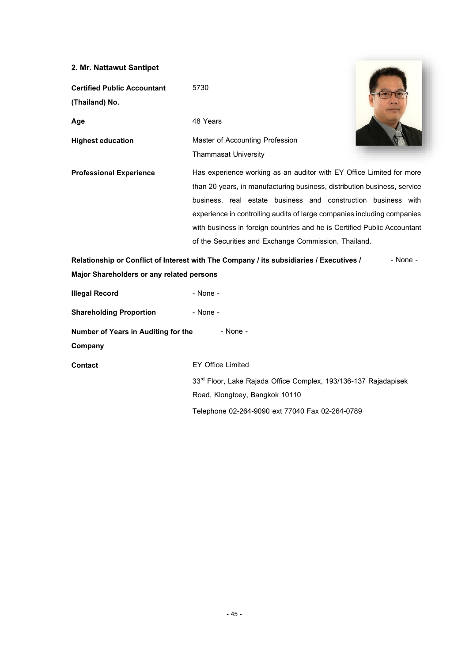## **2. Mr. Nattawut Santipet**

| <b>Certified Public Accountant</b><br>(Thailand) No. | 5730                                                                                                                                             |
|------------------------------------------------------|--------------------------------------------------------------------------------------------------------------------------------------------------|
| Age                                                  | 48 Years                                                                                                                                         |
| <b>Highest education</b>                             | Master of Accounting Profession                                                                                                                  |
|                                                      | <b>Thammasat University</b>                                                                                                                      |
| <b>Professional Experience</b>                       | Has experience working as an auditor with EY Office Limited for more<br>than 20 years, in manufacturing business, distribution business, service |
|                                                      | business, real estate business and construction business with                                                                                    |
|                                                      | experience in controlling audits of large companies including companies                                                                          |
|                                                      | with business in foreign countries and he is Certified Public Accountant                                                                         |
|                                                      | of the Securities and Exchange Commission, Thailand.                                                                                             |

**Contract Contract Contract Contract** 

**Relationship or Conflict of Interest with The Company / its subsidiaries / Executives / Major Shareholders or any related persons** - None -

| <b>Illegal Record</b>                           | - None -                                                                    |  |
|-------------------------------------------------|-----------------------------------------------------------------------------|--|
| <b>Shareholding Proportion</b>                  | $-$ None $-$                                                                |  |
| Number of Years in Auditing for the<br>- None - |                                                                             |  |
| Company                                         |                                                                             |  |
| Contact                                         | <b>EY Office Limited</b>                                                    |  |
|                                                 | 33 <sup>rd</sup> Floor, Lake Rajada Office Complex, 193/136-137 Rajadapisek |  |
|                                                 | Road, Klongtoey, Bangkok 10110                                              |  |
|                                                 | Telephone 02-264-9090 ext 77040 Fax 02-264-0789                             |  |